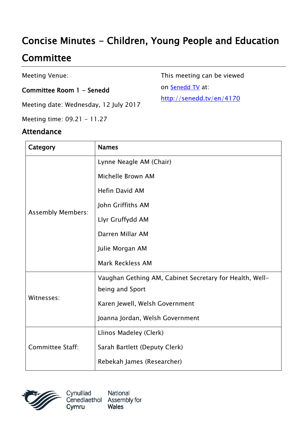# Concise Minutes - Children, Young People and Education

## **Committee**

Meeting Venue:

#### Committee Room 1 - Senedd

Meeting date: Wednesday, 12 July 2017

Meeting time: 09.21 - 11.27

#### Attendance

This meeting can be viewed

on [Senedd TV](http://senedd.tv/) at:

[http://senedd.tv/en/4170](http://www.senedd.tv/Meeting/Archive/a80c4080-ba56-463f-8406-6b4991fb6818?autostart=True)

| Category                 | <b>Names</b>                                            |
|--------------------------|---------------------------------------------------------|
| <b>Assembly Members:</b> | Lynne Neagle AM (Chair)                                 |
|                          | Michelle Brown AM                                       |
|                          | <b>Hefin David AM</b>                                   |
|                          | John Griffiths AM                                       |
|                          | Llyr Gruffydd AM                                        |
|                          | Darren Millar AM                                        |
|                          | Julie Morgan AM                                         |
|                          | Mark Reckless AM                                        |
| Witnesses:               | Vaughan Gething AM, Cabinet Secretary for Health, Well- |
|                          | being and Sport                                         |
|                          | Karen Jewell, Welsh Government                          |
|                          | Joanna Jordan, Welsh Government                         |
| <b>Committee Staff:</b>  | Llinos Madeley (Clerk)                                  |
|                          | Sarah Bartlett (Deputy Clerk)                           |
|                          | Rebekah James (Researcher)                              |



National Cynulliad Cenedlaethol Assembly for **Wales** Cymru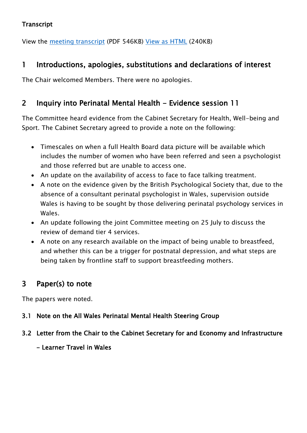#### **Transcript**

View the [meeting transcript](http://www.senedd.assembly.wales/documents/s500003790/12%20Gorffennaf%202017.pdf) (PDF 546KB) [View as HTML](http://www.senedd.assembly.wales/documents/s500003790/12%20Gorffennaf%202017.html?CT=2) (240KB)

## 1 Introductions, apologies, substitutions and declarations of interest

The Chair welcomed Members. There were no apologies.

## 2 Inquiry into Perinatal Mental Health - Evidence session 11

The Committee heard evidence from the Cabinet Secretary for Health, Well-being and Sport. The Cabinet Secretary agreed to provide a note on the following:

- Timescales on when a full Health Board data picture will be available which includes the number of women who have been referred and seen a psychologist and those referred but are unable to access one.
- An update on the availability of access to face to face talking treatment.
- A note on the evidence given by the British Psychological Society that, due to the absence of a consultant perinatal psychologist in Wales, supervision outside Wales is having to be sought by those delivering perinatal psychology services in Wales.
- An update following the joint Committee meeting on 25 July to discuss the review of demand tier 4 services.
- A note on any research available on the impact of being unable to breastfeed, and whether this can be a trigger for postnatal depression, and what steps are being taken by frontline staff to support breastfeeding mothers.

## 3 Paper(s) to note

The papers were noted.

#### 3.1 Note on the All Wales Perinatal Mental Health Steering Group

- 3.2 Letter from the Chair to the Cabinet Secretary for and Economy and Infrastructure
	- Learner Travel in Wales